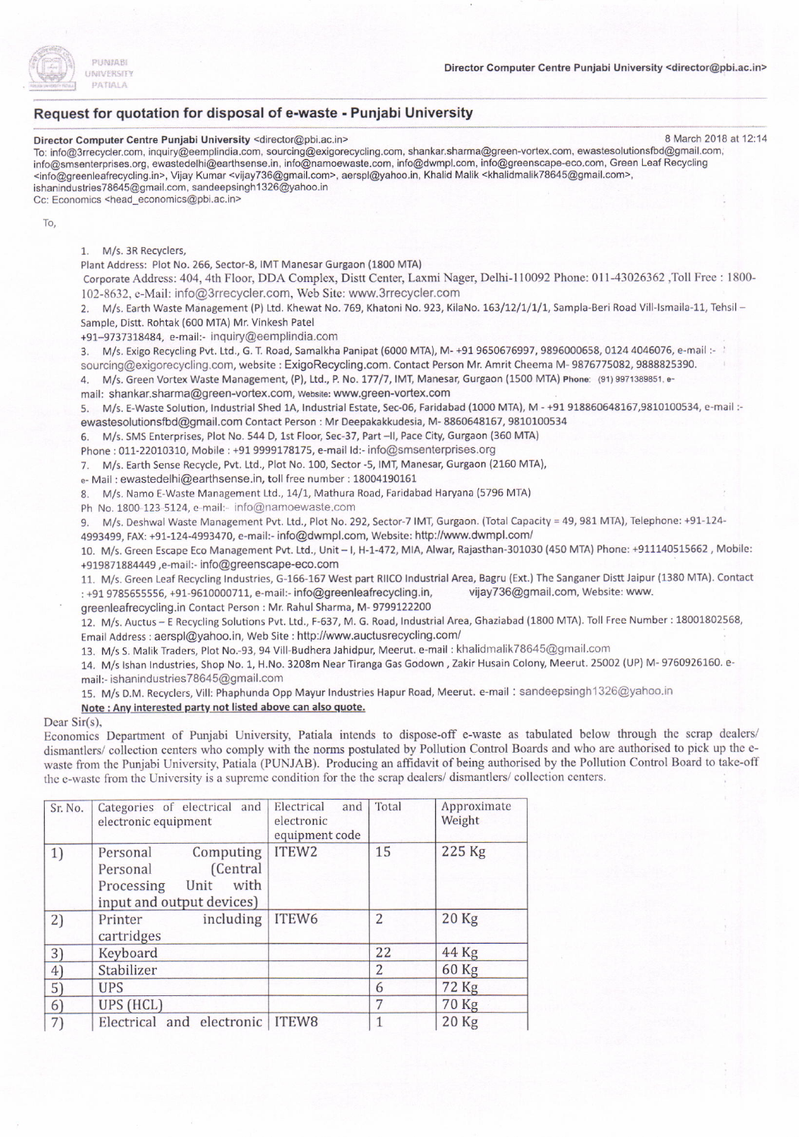

2) Printer including

3) Keyboard 22 44 Kg<br>4) Stabilizer 2 60 Kg 4) Stabilizer 2 60 Kg  $S$ ) UPS 6 72 Kg 6) UPS (HCL) 7 70 Kg 7) Electrical and electronic ITEW8 1 20 Kg

cartridges

## Request for quotation for disposal of e-waste - Punjabi University

Director Computer Centre Punjabi University <director@pbi.ac.in> 8 March 2018 at 12:14 To: info@3rrecycler.com, inquiry@eemplindia.com, sourcing@exigorecycling.com, shankar.sharma@green-vortex.com, ewastesolutionsfbd@gmail.com, info@smsenterprises.org, ewastedelhi@earthsense.in, info@namoewaste.com, info@dwmpl.com, info@greenscape-eco.com, Green Leaf Recycling <info@greenleafrecycling.in>, Vijay Kumar <vijay736@gmail.com>, aerspl@yahoo.in, Khalid Malik <khalidmalik78645@gmail.com>, ishanindustries78645@gmail.com, sandeepsingh1326@yahoo.in Cc: Economics <head\_economics@pbi.ac.in> To, 1. M/s. 3R Recyclers, Plant Address: Plot No. 266, Sector-8, IMT Manesar Gurgaon (1800 MTA) Corporate Address: 404, 4th Floor, DDA Complex, Distt Center, Laxmi Nager, Delhi-110092 Phone: 011-43026362 ,Toll Free : 1800-102-8632, e-Mail: info@3rrecycler.com, Web Site: www.3rrecycler.com 2. M/s. Earth Waste Management (P) Ltd. Khewat No. 769, Khatoni No. 923, KilaNo. 163/12/1/1/1, Sampla-Beri Road Vill-Ismaila-11, Tehsil -Sample, Distt. Rohtak (600 MTA) Mr. Vinkesh Patel +97-9737318484, e-mail:- inquiry@eemplindia.com 3. M/s. Exigo Recycling Pvt. Ltd., G. T. Road, Samalkha Panipat (6000 MTA), M- +91 9650676997, 9896000658, 0124 4046076, e-mail :sourcing@exigorecycling.com, website : ExigoRecycling.com. contact Person Mr Amrit cheema M- 9876775082, 9888825390. 4. M/s. Green Vortex Waste Management, (P), Ltd., P. No. 177/7, IMT, Manesar, Gurgaon (1500 MTA) Phone: (91)9971389851. email: shankar.sharma@green-vortex.com, website: www.green-vortex.com 5. M/s. E-Waste Solution, Industrial Shed 1A, Industrial Estate, Sec-06, Faridabad (1000 MTA), M - +91 918860648167,9810100534, e-mail :ewastesolutionsfbd@gmail.com Contact Person : Mr Deepakakkudesia, M- 8860648167, 9810100534 6. M/s. sMS Enterprises, Plot No. 544 D, 1st Floor, 5ec-37, Part -ll, Pace City, Gurgaon {360 MTA) Phone : 011-22010310, Mobile : +91 9999178175, e-mail Id:- info@smsenterprises.org 7. M/s. Earth Sense Recycle, Pvt. Ltd., Plot No. 100, Sector -5, IMT, Manesar, Gurgaon (2160 MTA), e- Mail : ewastedelhi@earthsense.in, toll free number : 18004190161 8. M/s. Namo E Waste Management Ltd., 1411, Mathura Road, Faridabad Haryana (5796 MTA) Ph No. 1800-123-5124, e-mail:- info@namoewaste.com 9. M/s. Deshwal Waste Management Pvt. Ltd., Plot No. 292, Sector-7 IMT, Gurgaon. (Total Capacity = 49, 981 MTA), Telephone: +91-124-4993499, FAX: +91-124-4993470, e-mail:- info@dwmpl.com, Website: http://www.dwmpl.com/ 10. M/s. Green Escape Eco Management Pvt. Ltd., Unit-l, H-1-472, MIA, Alwar, Rajasthan-301030 (450 MTA) Phone: +911140515662, Mobile: +919871884449,e-mail:- info@greenscape-eco.com 11. M/s. Green Leaf Recycling Industries, G-166-167 West part RIICO Industrial Area, Bagru (Ext.) The Sanganer Distt Jaipur (1380 MTA). Contact : +91 9785655556, +91-9610000711, e-mail:- info@greenleafrecycling.in, greenleafrecycling.in Contact Person : Mr. Rahul Sharma, M- 9799122200 vijay736@gmail.com, Website: www 12. M/s. Auctus - E Recycling Solutions Pvt. Ltd., F-637, M. G. Road, Industrial Area, Ghaziabad (1800 MTA). Toll Free Number : 18001802568, Email Address : aerspl@yahoo.in, Web Site : http://www.auctusrecycling.com/ 13. M/s S. Malik Traders, Plot No.-93, 94 Vill-Budhera Ja hidpur, Meerut. e-mail : khalidmalik78645@gmail.com 14. M/s Ishan Industries, Shop No. 1, H.No. 3208m Near Tiranga Gas Godown, Zakir Husain Colony, Meerut. 25002 (UP) M-9760926160. email;- ishanindustriesTS645@gmail.com 15. M/s D.M. Recyclers, Vill: Phaphunda Opp Mayur Industries Hapur Road, Meerut. e-mail : sandeepsingh1326@yahoo.in Note : Any interested party not listed above can also quote. Dear Sir(s), Economics Department of Punjabi University, Patiala intends to dispose-off e-waste as tabulated below through the scrap dealers/ dismantlers/ collection centers who comply with the norms postulated by Pollution Control Boards and who are authorised to pick up the ewaste from the Punjabi University, Patiala (PUNJAB). Producing an affidavit of being authorised by the Pollution Control Board to take-off the e-waste from the University is a supreme condition for the the scrap dealers/ dismantlers/ collection centers. Sr. No. | Categories of electrical and electronic equipment Electrical and elcctronic equipment code Total Approximate Weight 1) Personal Computing<br>
Personal (Central Personal (Central<br>Processing Unit with Processing input and output devices) ITEW2  $15$  225 Kg

ITEW6  $\vert$  2  $\vert$  20 Kg